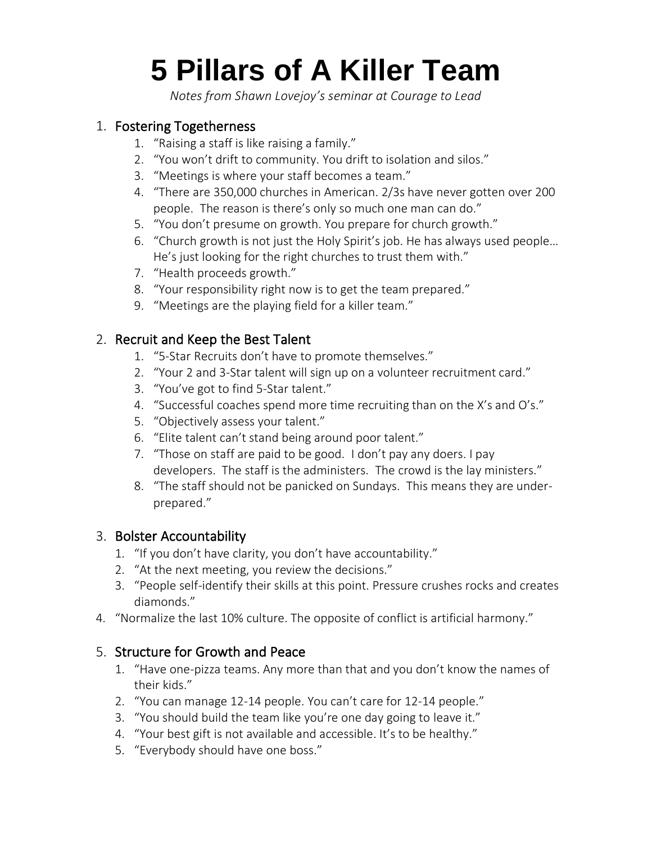# **5 Pillars of A Killer Team**

*Notes from Shawn Lovejoy's seminar at Courage to Lead*

#### 1. Fostering Togetherness

- 1. "Raising a staff is like raising a family."
- 2. "You won't drift to community. You drift to isolation and silos."
- 3. "Meetings is where your staff becomes a team."
- 4. "There are 350,000 churches in American. 2/3s have never gotten over 200 people. The reason is there's only so much one man can do."
- 5. "You don't presume on growth. You prepare for church growth."
- 6. "Church growth is not just the Holy Spirit's job. He has always used people… He's just looking for the right churches to trust them with."
- 7. "Health proceeds growth."
- 8. "Your responsibility right now is to get the team prepared."
- 9. "Meetings are the playing field for a killer team."

#### 2. Recruit and Keep the Best Talent

- 1. "5-Star Recruits don't have to promote themselves."
- 2. "Your 2 and 3-Star talent will sign up on a volunteer recruitment card."
- 3. "You've got to find 5-Star talent."
- 4. "Successful coaches spend more time recruiting than on the X's and O's."
- 5. "Objectively assess your talent."
- 6. "Elite talent can't stand being around poor talent."
- 7. "Those on staff are paid to be good. I don't pay any doers. I pay developers. The staff is the administers. The crowd is the lay ministers."
- 8. "The staff should not be panicked on Sundays. This means they are underprepared."

#### 3. Bolster Accountability

- 1. "If you don't have clarity, you don't have accountability."
- 2. "At the next meeting, you review the decisions."
- 3. "People self-identify their skills at this point. Pressure crushes rocks and creates diamonds."
- 4. "Normalize the last 10% culture. The opposite of conflict is artificial harmony."

#### 5. Structure for Growth and Peace

- 1. "Have one-pizza teams. Any more than that and you don't know the names of their kids."
- 2. "You can manage 12-14 people. You can't care for 12-14 people."
- 3. "You should build the team like you're one day going to leave it."
- 4. "Your best gift is not available and accessible. It's to be healthy."
- 5. "Everybody should have one boss."